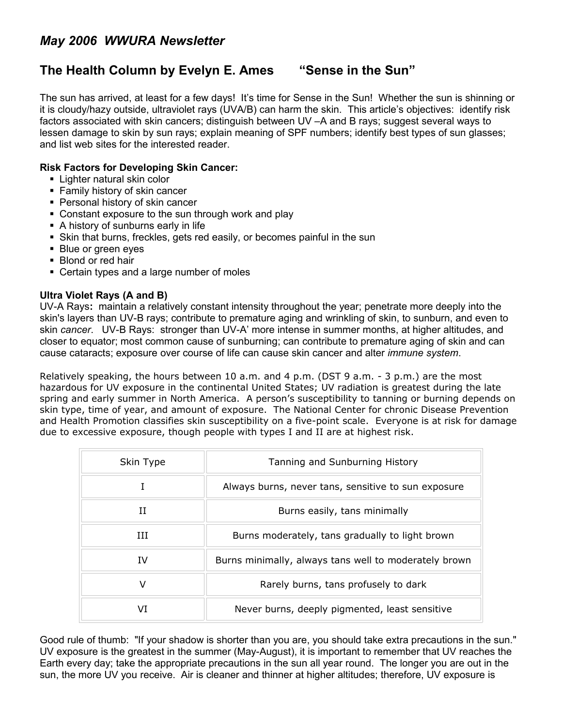# *May 2006 WWURA Newsletter*

## **The Health Column by Evelyn E. Ames "Sense in the Sun"**

The sun has arrived, at least for a few days! It's time for Sense in the Sun! Whether the sun is shinning or it is cloudy/hazy outside, ultraviolet rays (UVA/B) can harm the skin. This article's objectives: identify risk factors associated with skin cancers; distinguish between UV –A and B rays; suggest several ways to lessen damage to skin by sun rays; explain meaning of SPF numbers; identify best types of sun glasses; and list web sites for the interested reader.

#### **Risk Factors for Developing Skin Cancer:**

- **Lighter natural skin color**
- Family history of skin cancer
- Personal history of skin cancer
- Constant exposure to the sun through work and play
- A history of sunburns early in life
- Skin that burns, freckles, gets red easily, or becomes painful in the sun
- **Blue or green eves**
- **Blond or red hair**
- **Certain types and a large number of moles**

#### **Ultra Violet Rays (A and B)**

UV-A Rays**:** maintain a relatively constant intensity throughout the year; penetrate more deeply into the skin's layers than UV-B rays; contribute to premature aging and wrinkling of skin, to sunburn, and even to skin *cancer*. UV-B Rays: stronger than UV-A' more intense in summer months, at higher altitudes, and closer to equator; most common cause of sunburning; can contribute to premature aging of skin and can cause cataracts; exposure over course of life can cause skin cancer and alter *immune system*.

Relatively speaking, the hours between 10 a.m. and 4 p.m. (DST 9 a.m. - 3 p.m.) are the most hazardous for UV exposure in the continental United States; UV radiation is greatest during the late spring and early summer in North America. A person's susceptibility to tanning or burning depends on skin type, time of year, and amount of exposure. The National Center for chronic Disease Prevention and Health Promotion classifies skin susceptibility on a five-point scale. Everyone is at risk for damage due to excessive exposure, though people with types I and II are at highest risk.

| Skin Type | Tanning and Sunburning History                        |
|-----------|-------------------------------------------------------|
|           | Always burns, never tans, sensitive to sun exposure   |
| TΤ        | Burns easily, tans minimally                          |
| Ш         | Burns moderately, tans gradually to light brown       |
| ΙV        | Burns minimally, always tans well to moderately brown |
| v         | Rarely burns, tans profusely to dark                  |
| VT        | Never burns, deeply pigmented, least sensitive        |

Good rule of thumb: "If your shadow is shorter than you are, you should take extra precautions in the sun." UV exposure is the greatest in the summer (May-August), it is important to remember that UV reaches the Earth every day; take the appropriate precautions in the sun all year round. The longer you are out in the sun, the more UV you receive. Air is cleaner and thinner at higher altitudes; therefore, UV exposure is